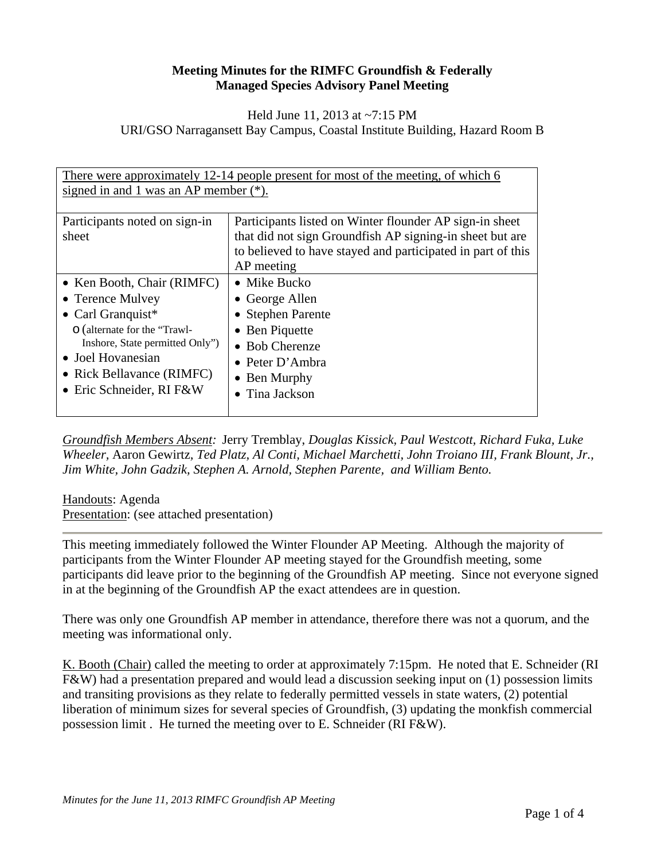## **Meeting Minutes for the RIMFC Groundfish & Federally Managed Species Advisory Panel Meeting**

Held June 11, 2013 at ~7:15 PM URI/GSO Narragansett Bay Campus, Coastal Institute Building, Hazard Room B

| <u>There were approximately 12-14 people present for most of the meeting, of which 6</u><br>signed in and 1 was an AP member $(*)$ .                                                                                               |                                                                                                                                                                                                  |
|------------------------------------------------------------------------------------------------------------------------------------------------------------------------------------------------------------------------------------|--------------------------------------------------------------------------------------------------------------------------------------------------------------------------------------------------|
| Participants noted on sign-in<br>sheet                                                                                                                                                                                             | Participants listed on Winter flounder AP sign-in sheet<br>that did not sign Groundfish AP signing-in sheet but are<br>to believed to have stayed and participated in part of this<br>AP meeting |
| • Ken Booth, Chair (RIMFC)<br>• Terence Mulvey<br>$\bullet$ Carl Granquist*<br>$\circ$ (alternate for the "Trawl-<br>Inshore, State permitted Only")<br>• Joel Hovanesian<br>• Rick Bellavance (RIMFC)<br>• Eric Schneider, RI F&W | $\bullet$ Mike Bucko<br>• George Allen<br>• Stephen Parente<br>• Ben Piquette<br>• Bob Cherenze<br>• Peter D'Ambra<br>$\bullet$ Ben Murphy<br>• Tina Jackson                                     |

*Groundfish Members Absent:* Jerry Tremblay, *Douglas Kissick, Paul Westcott, Richard Fuka, Luke Wheeler,* Aaron Gewirtz*, Ted Platz, Al Conti, Michael Marchetti, John Troiano III, Frank Blount, Jr., Jim White, John Gadzik, Stephen A. Arnold, Stephen Parente, and William Bento.* 

Handouts: Agenda Presentation: (see attached presentation)

This meeting immediately followed the Winter Flounder AP Meeting. Although the majority of participants from the Winter Flounder AP meeting stayed for the Groundfish meeting, some participants did leave prior to the beginning of the Groundfish AP meeting. Since not everyone signed in at the beginning of the Groundfish AP the exact attendees are in question.

There was only one Groundfish AP member in attendance, therefore there was not a quorum, and the meeting was informational only.

K. Booth (Chair) called the meeting to order at approximately 7:15pm. He noted that E. Schneider (RI F&W) had a presentation prepared and would lead a discussion seeking input on (1) possession limits and transiting provisions as they relate to federally permitted vessels in state waters, (2) potential liberation of minimum sizes for several species of Groundfish, (3) updating the monkfish commercial possession limit . He turned the meeting over to E. Schneider (RI F&W).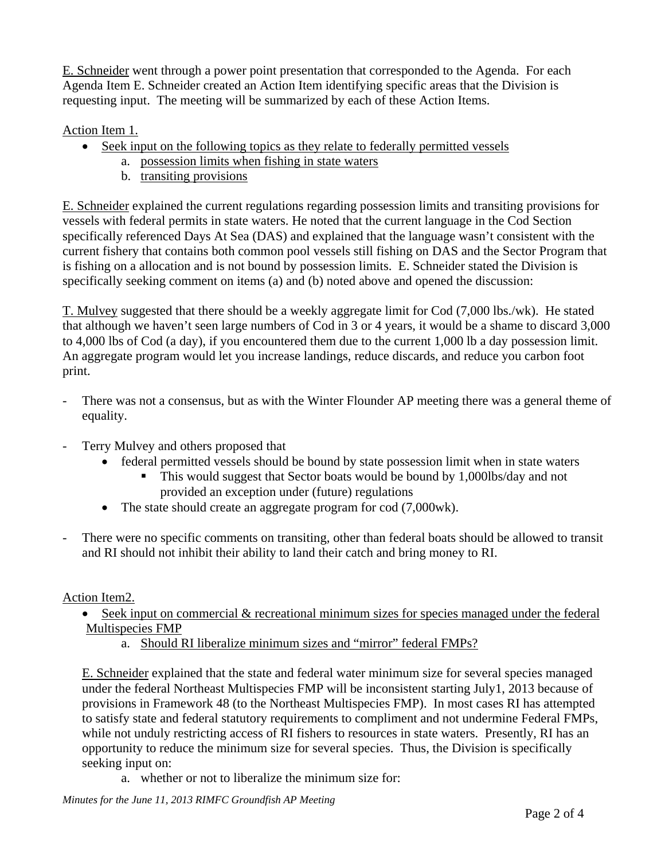E. Schneider went through a power point presentation that corresponded to the Agenda. For each Agenda Item E. Schneider created an Action Item identifying specific areas that the Division is requesting input. The meeting will be summarized by each of these Action Items.

Action Item 1.

- Seek input on the following topics as they relate to federally permitted vessels
	- a. possession limits when fishing in state waters
	- b. transiting provisions

E. Schneider explained the current regulations regarding possession limits and transiting provisions for vessels with federal permits in state waters. He noted that the current language in the Cod Section specifically referenced Days At Sea (DAS) and explained that the language wasn't consistent with the current fishery that contains both common pool vessels still fishing on DAS and the Sector Program that is fishing on a allocation and is not bound by possession limits. E. Schneider stated the Division is specifically seeking comment on items (a) and (b) noted above and opened the discussion:

T. Mulvey suggested that there should be a weekly aggregate limit for Cod (7,000 lbs./wk). He stated that although we haven't seen large numbers of Cod in 3 or 4 years, it would be a shame to discard 3,000 to 4,000 lbs of Cod (a day), if you encountered them due to the current 1,000 lb a day possession limit. An aggregate program would let you increase landings, reduce discards, and reduce you carbon foot print.

- There was not a consensus, but as with the Winter Flounder AP meeting there was a general theme of equality.
- Terry Mulvey and others proposed that
	- federal permitted vessels should be bound by state possession limit when in state waters
		- This would suggest that Sector boats would be bound by 1,000lbs/day and not provided an exception under (future) regulations
	- The state should create an aggregate program for cod (7,000wk).
- There were no specific comments on transiting, other than federal boats should be allowed to transit and RI should not inhibit their ability to land their catch and bring money to RI.

## Action Item2.

 Seek input on commercial & recreational minimum sizes for species managed under the federal Multispecies FMP

a. Should RI liberalize minimum sizes and "mirror" federal FMPs?

E. Schneider explained that the state and federal water minimum size for several species managed under the federal Northeast Multispecies FMP will be inconsistent starting July1, 2013 because of provisions in Framework 48 (to the Northeast Multispecies FMP). In most cases RI has attempted to satisfy state and federal statutory requirements to compliment and not undermine Federal FMPs, while not unduly restricting access of RI fishers to resources in state waters. Presently, RI has an opportunity to reduce the minimum size for several species. Thus, the Division is specifically seeking input on:

a. whether or not to liberalize the minimum size for: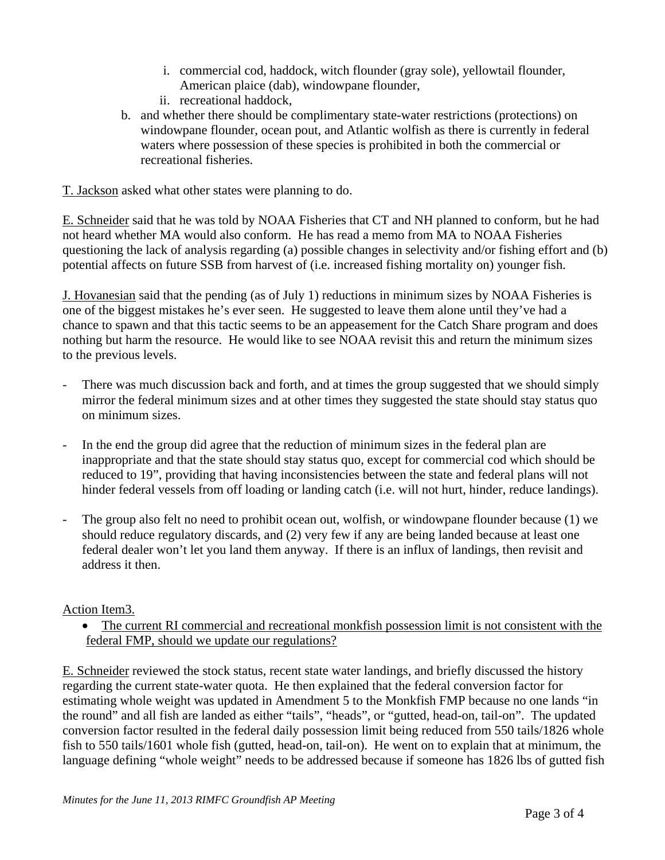- i. commercial cod, haddock, witch flounder (gray sole), yellowtail flounder, American plaice (dab), windowpane flounder,
- ii. recreational haddock,
- b. and whether there should be complimentary state-water restrictions (protections) on windowpane flounder, ocean pout, and Atlantic wolfish as there is currently in federal waters where possession of these species is prohibited in both the commercial or recreational fisheries.

T. Jackson asked what other states were planning to do.

E. Schneider said that he was told by NOAA Fisheries that CT and NH planned to conform, but he had not heard whether MA would also conform. He has read a memo from MA to NOAA Fisheries questioning the lack of analysis regarding (a) possible changes in selectivity and/or fishing effort and (b) potential affects on future SSB from harvest of (i.e. increased fishing mortality on) younger fish.

J. Hovanesian said that the pending (as of July 1) reductions in minimum sizes by NOAA Fisheries is one of the biggest mistakes he's ever seen. He suggested to leave them alone until they've had a chance to spawn and that this tactic seems to be an appeasement for the Catch Share program and does nothing but harm the resource. He would like to see NOAA revisit this and return the minimum sizes to the previous levels.

- There was much discussion back and forth, and at times the group suggested that we should simply mirror the federal minimum sizes and at other times they suggested the state should stay status quo on minimum sizes.
- In the end the group did agree that the reduction of minimum sizes in the federal plan are inappropriate and that the state should stay status quo, except for commercial cod which should be reduced to 19", providing that having inconsistencies between the state and federal plans will not hinder federal vessels from off loading or landing catch (i.e. will not hurt, hinder, reduce landings).
- The group also felt no need to prohibit ocean out, wolfish, or windowpane flounder because (1) we should reduce regulatory discards, and (2) very few if any are being landed because at least one federal dealer won't let you land them anyway. If there is an influx of landings, then revisit and address it then.

## Action Item3.

• The current RI commercial and recreational monkfish possession limit is not consistent with the federal FMP, should we update our regulations?

E. Schneider reviewed the stock status, recent state water landings, and briefly discussed the history regarding the current state-water quota. He then explained that the federal conversion factor for estimating whole weight was updated in Amendment 5 to the Monkfish FMP because no one lands "in the round" and all fish are landed as either "tails", "heads", or "gutted, head-on, tail-on". The updated conversion factor resulted in the federal daily possession limit being reduced from 550 tails/1826 whole fish to 550 tails/1601 whole fish (gutted, head-on, tail-on). He went on to explain that at minimum, the language defining "whole weight" needs to be addressed because if someone has 1826 lbs of gutted fish